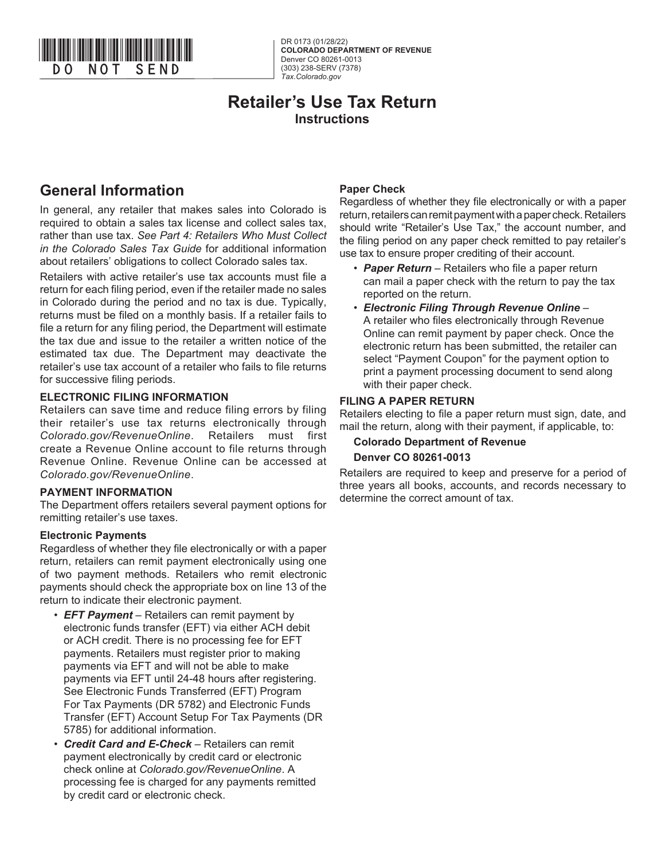

DR 0173 (01/28/22) **COLORADO DEPARTMENT OF REVENUE** Denver CO 80261-0013 (303) 238-SERV (7378) *Tax.Colorado.gov*

# **Retailer's Use Tax Return Instructions**

# **General Information**

In general, any retailer that makes sales into Colorado is required to obtain a sales tax license and collect sales tax, rather than use tax. *See Part 4: Retailers Who Must Collect in the Colorado Sales Tax Guide* for additional information about retailers' obligations to collect Colorado sales tax.

Retailers with active retailer's use tax accounts must file a return for each filing period, even if the retailer made no sales in Colorado during the period and no tax is due. Typically, returns must be filed on a monthly basis. If a retailer fails to file a return for any filing period, the Department will estimate the tax due and issue to the retailer a written notice of the estimated tax due. The Department may deactivate the retailer's use tax account of a retailer who fails to file returns for successive filing periods.

#### **ELECTRONIC FILING INFORMATION**

Retailers can save time and reduce filing errors by filing their retailer's use tax returns electronically through *Colorado.gov/RevenueOnline*. Retailers must first create a Revenue Online account to file returns through Revenue Online. Revenue Online can be accessed at *Colorado.gov/RevenueOnline*.

#### **PAYMENT INFORMATION**

The Department offers retailers several payment options for remitting retailer's use taxes.

#### **Electronic Payments**

Regardless of whether they file electronically or with a paper return, retailers can remit payment electronically using one of two payment methods. Retailers who remit electronic payments should check the appropriate box on line 13 of the return to indicate their electronic payment.

- *EFT Payment* Retailers can remit payment by electronic funds transfer (EFT) via either ACH debit or ACH credit. There is no processing fee for EFT payments. Retailers must register prior to making payments via EFT and will not be able to make payments via EFT until 24-48 hours after registering. See Electronic Funds Transferred (EFT) Program For Tax Payments (DR 5782) and Electronic Funds Transfer (EFT) Account Setup For Tax Payments (DR 5785) for additional information.
- *Credit Card and E-Check* Retailers can remit payment electronically by credit card or electronic check online at *Colorado.gov/RevenueOnline*. A processing fee is charged for any payments remitted by credit card or electronic check.

#### **Paper Check**

Regardless of whether they file electronically or with a paper return, retailers can remit payment with a paper check. Retailers should write "Retailer's Use Tax," the account number, and the filing period on any paper check remitted to pay retailer's use tax to ensure proper crediting of their account.

- **Paper Return** Retailers who file a paper return can mail a paper check with the return to pay the tax reported on the return.
- *Electronic Filing Through Revenue Online*  A retailer who files electronically through Revenue Online can remit payment by paper check. Once the electronic return has been submitted, the retailer can select "Payment Coupon" for the payment option to print a payment processing document to send along with their paper check.

### **FILING A PAPER RETURN**

Retailers electing to file a paper return must sign, date, and mail the return, along with their payment, if applicable, to:

# **Colorado Department of Revenue Denver CO 80261-0013**

Retailers are required to keep and preserve for a period of three years all books, accounts, and records necessary to determine the correct amount of tax.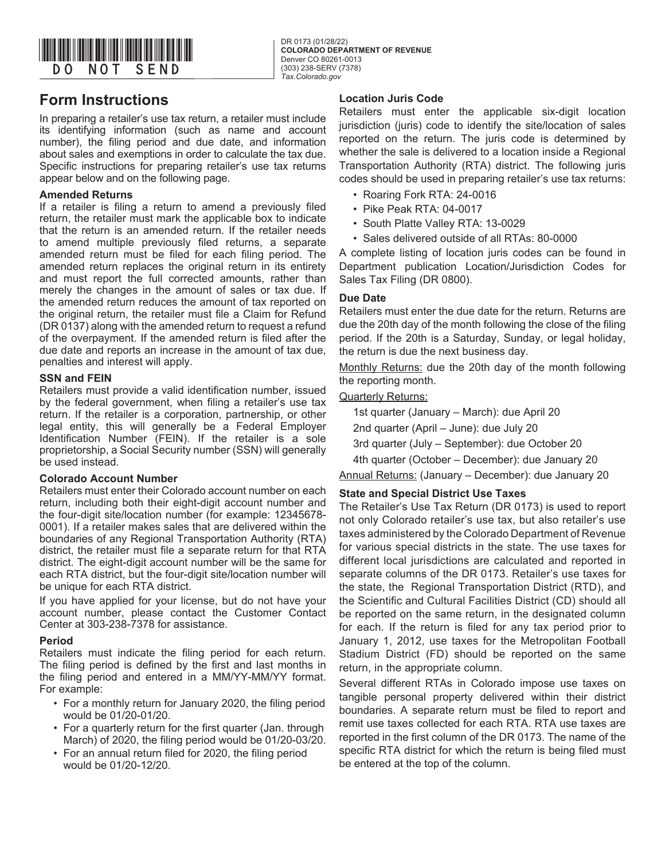

**COLORADO DEPARTMENT OF REVENUE** Denver CO 80261-0013 (303) 238-SERV (7378) *Tax.Colorado.gov*

# **Form Instructions**

In preparing a retailer's use tax return, a retailer must include its identifying information (such as name and account number), the filing period and due date, and information about sales and exemptions in order to calculate the tax due. Specific instructions for preparing retailer's use tax returns appear below and on the following page.

### **Amended Returns**

If a retailer is filing a return to amend a previously filed return, the retailer must mark the applicable box to indicate that the return is an amended return. If the retailer needs to amend multiple previously filed returns, a separate amended return must be filed for each filing period. The amended return replaces the original return in its entirety and must report the full corrected amounts, rather than merely the changes in the amount of sales or tax due. If the amended return reduces the amount of tax reported on the original return, the retailer must file a Claim for Refund (DR 0137) along with the amended return to request a refund of the overpayment. If the amended return is filed after the due date and reports an increase in the amount of tax due, penalties and interest will apply.

### **SSN and FEIN**

Retailers must provide a valid identification number, issued by the federal government, when filing a retailer's use tax return. If the retailer is a corporation, partnership, or other legal entity, this will generally be a Federal Employer Identification Number (FEIN). If the retailer is a sole proprietorship, a Social Security number (SSN) will generally be used instead.

#### **Colorado Account Number**

Retailers must enter their Colorado account number on each return, including both their eight-digit account number and the four-digit site/location number (for example: 12345678- 0001). If a retailer makes sales that are delivered within the boundaries of any Regional Transportation Authority (RTA) district, the retailer must file a separate return for that RTA district. The eight-digit account number will be the same for each RTA district, but the four-digit site/location number will be unique for each RTA district.

If you have applied for your license, but do not have your account number, please contact the Customer Contact Center at 303-238-7378 for assistance.

# **Period**

Retailers must indicate the filing period for each return. The filing period is defined by the first and last months in the filing period and entered in a MM/YY-MM/YY format. For example:

- For a monthly return for January 2020, the filing period would be 01/20-01/20.
- For a quarterly return for the first quarter (Jan. through March) of 2020, the filing period would be 01/20-03/20.
- For an annual return filed for 2020, the filing period would be 01/20-12/20.

#### **Location Juris Code**

Retailers must enter the applicable six-digit location jurisdiction (juris) code to identify the site/location of sales reported on the return. The juris code is determined by whether the sale is delivered to a location inside a Regional Transportation Authority (RTA) district. The following juris codes should be used in preparing retailer's use tax returns:

- Roaring Fork RTA: 24-0016
- Pike Peak RTA: 04-0017
- South Platte Valley RTA: 13-0029
- Sales delivered outside of all RTAs: 80-0000

A complete listing of location juris codes can be found in Department publication Location/Jurisdiction Codes for Sales Tax Filing (DR 0800).

#### **Due Date**

Retailers must enter the due date for the return. Returns are due the 20th day of the month following the close of the filing period. If the 20th is a Saturday, Sunday, or legal holiday, the return is due the next business day.

Monthly Returns: due the 20th day of the month following the reporting month.

#### Quarterly Returns:

1st quarter (January – March): due April 20

2nd quarter (April – June): due July 20

3rd quarter (July – September): due October 20

4th quarter (October – December): due January 20

Annual Returns: (January – December): due January 20

# **State and Special District Use Taxes**

The Retailer's Use Tax Return (DR 0173) is used to report not only Colorado retailer's use tax, but also retailer's use taxes administered by the Colorado Department of Revenue for various special districts in the state. The use taxes for different local jurisdictions are calculated and reported in separate columns of the DR 0173. Retailer's use taxes for the state, the Regional Transportation District (RTD), and the Scientific and Cultural Facilities District (CD) should all be reported on the same return, in the designated column for each. If the return is filed for any tax period prior to January 1, 2012, use taxes for the Metropolitan Football Stadium District (FD) should be reported on the same return, in the appropriate column.

Several different RTAs in Colorado impose use taxes on tangible personal property delivered within their district boundaries. A separate return must be filed to report and remit use taxes collected for each RTA. RTA use taxes are reported in the first column of the DR 0173. The name of the specific RTA district for which the return is being filed must be entered at the top of the column.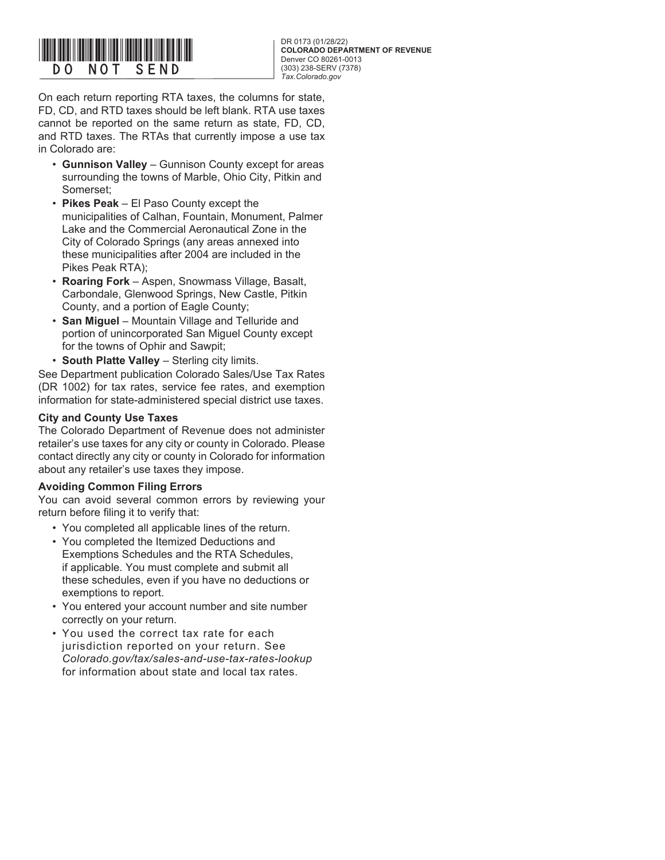

**COLORADO DEPARTMENT OF REVENUE** Denver CO 80261-0013 (303) 238-SERV (7378) *Tax.Colorado.gov*

On each return reporting RTA taxes, the columns for state, FD, CD, and RTD taxes should be left blank. RTA use taxes cannot be reported on the same return as state, FD, CD, and RTD taxes. The RTAs that currently impose a use tax in Colorado are:

- **Gunnison Valley**  Gunnison County except for areas surrounding the towns of Marble, Ohio City, Pitkin and Somerset;
- **Pikes Peak** El Paso County except the municipalities of Calhan, Fountain, Monument, Palmer Lake and the Commercial Aeronautical Zone in the City of Colorado Springs (any areas annexed into these municipalities after 2004 are included in the Pikes Peak RTA);
- **Roaring Fork** Aspen, Snowmass Village, Basalt, Carbondale, Glenwood Springs, New Castle, Pitkin County, and a portion of Eagle County;
- **San Miguel** Mountain Village and Telluride and portion of unincorporated San Miguel County except for the towns of Ophir and Sawpit;
- **South Platte Valley** Sterling city limits.

See Department publication Colorado Sales/Use Tax Rates (DR 1002) for tax rates, service fee rates, and exemption information for state-administered special district use taxes.

# **City and County Use Taxes**

The Colorado Department of Revenue does not administer retailer's use taxes for any city or county in Colorado. Please contact directly any city or county in Colorado for information about any retailer's use taxes they impose.

# **Avoiding Common Filing Errors**

You can avoid several common errors by reviewing your return before filing it to verify that:

- You completed all applicable lines of the return.
- You completed the Itemized Deductions and Exemptions Schedules and the RTA Schedules, if applicable. You must complete and submit all these schedules, even if you have no deductions or exemptions to report.
- You entered your account number and site number correctly on your return.
- You used the correct tax rate for each jurisdiction reported on your return. See *Colorado.gov/tax/sales-and-use-tax-rates-lookup* for information about state and local tax rates.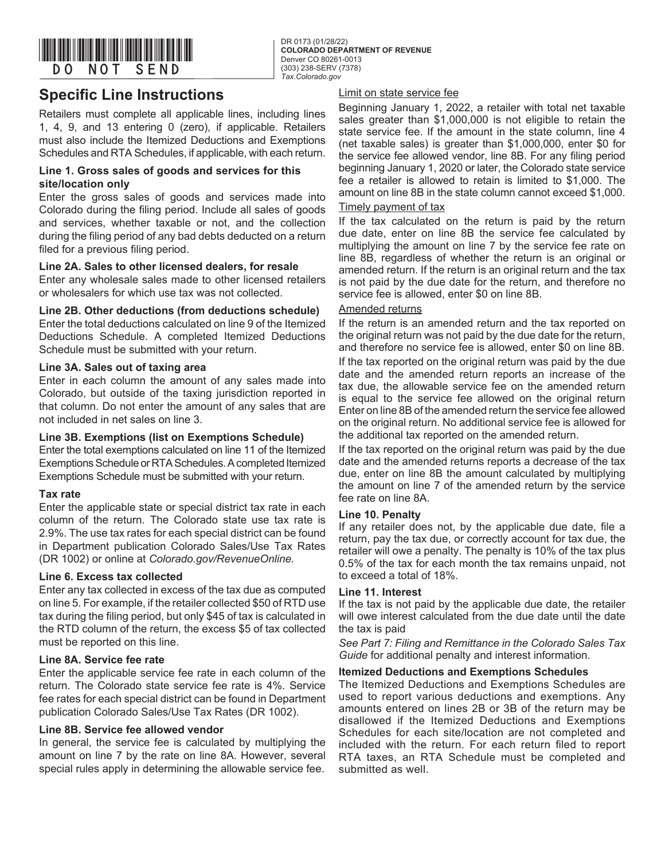

# **Specific Line Instructions**

Retailers must complete all applicable lines, including lines 1, 4, 9, and 13 entering 0 (zero), if applicable. Retailers must also include the Itemized Deductions and Exemptions Schedules and RTA Schedules, if applicable, with each return.

#### **Line 1. Gross sales of goods and services for this site/location only**

Enter the gross sales of goods and services made into Colorado during the filing period. Include all sales of goods and services, whether taxable or not, and the collection during the filing period of any bad debts deducted on a return filed for a previous filing period.

### **Line 2A. Sales to other licensed dealers, for resale**

Enter any wholesale sales made to other licensed retailers or wholesalers for which use tax was not collected.

### **Line 2B. Other deductions (from deductions schedule)**

Enter the total deductions calculated on line 9 of the Itemized Deductions Schedule. A completed Itemized Deductions Schedule must be submitted with your return.

### **Line 3A. Sales out of taxing area**

Enter in each column the amount of any sales made into Colorado, but outside of the taxing jurisdiction reported in that column. Do not enter the amount of any sales that are not included in net sales on line 3.

#### **Line 3B. Exemptions (list on Exemptions Schedule)**

Enter the total exemptions calculated on line 11 of the Itemized Exemptions Schedule or RTA Schedules. A completed Itemized Exemptions Schedule must be submitted with your return.

# **Tax rate**

Enter the applicable state or special district tax rate in each column of the return. The Colorado state use tax rate is 2.9%. The use tax rates for each special district can be found in Department publication Colorado Sales/Use Tax Rates (DR 1002) or online at *Colorado.gov/RevenueOnline.*

# **Line 6. Excess tax collected**

Enter any tax collected in excess of the tax due as computed on line 5. For example, if the retailer collected \$50 of RTD use tax during the filing period, but only \$45 of tax is calculated in the RTD column of the return, the excess \$5 of tax collected must be reported on this line.

#### **Line 8A. Service fee rate**

Enter the applicable service fee rate in each column of the return. The Colorado state service fee rate is 4%. Service fee rates for each special district can be found in Department publication Colorado Sales/Use Tax Rates (DR 1002).

#### **Line 8B. Service fee allowed vendor**

In general, the service fee is calculated by multiplying the amount on line 7 by the rate on line 8A. However, several special rules apply in determining the allowable service fee.

#### Limit on state service fee

Beginning January 1, 2022, a retailer with total net taxable sales greater than \$1,000,000 is not eligible to retain the state service fee. If the amount in the state column, line 4 (net taxable sales) is greater than \$1,000,000, enter \$0 for the service fee allowed vendor, line 8B. For any filing period beginning January 1, 2020 or later, the Colorado state service fee a retailer is allowed to retain is limited to \$1,000. The amount on line 8B in the state column cannot exceed \$1,000.

#### Timely payment of tax

If the tax calculated on the return is paid by the return due date, enter on line 8B the service fee calculated by multiplying the amount on line 7 by the service fee rate on line 8B, regardless of whether the return is an original or amended return. If the return is an original return and the tax is not paid by the due date for the return, and therefore no service fee is allowed, enter \$0 on line 8B.

#### Amended returns

If the return is an amended return and the tax reported on the original return was not paid by the due date for the return, and therefore no service fee is allowed, enter \$0 on line 8B. If the tax reported on the original return was paid by the due date and the amended return reports an increase of the tax due, the allowable service fee on the amended return is equal to the service fee allowed on the original return Enter on line 8B of the amended return the service fee allowed on the original return. No additional service fee is allowed for the additional tax reported on the amended return.

If the tax reported on the original return was paid by the due date and the amended returns reports a decrease of the tax due, enter on line 8B the amount calculated by multiplying the amount on line 7 of the amended return by the service fee rate on line 8A.

#### **Line 10. Penalty**

If any retailer does not, by the applicable due date, file a return, pay the tax due, or correctly account for tax due, the retailer will owe a penalty. The penalty is 10% of the tax plus 0.5% of the tax for each month the tax remains unpaid, not to exceed a total of 18%.

#### **Line 11. Interest**

If the tax is not paid by the applicable due date, the retailer will owe interest calculated from the due date until the date the tax is paid

*See Part 7: Filing and Remittance in the Colorado Sales Tax Guide* for additional penalty and interest information.

#### **Itemized Deductions and Exemptions Schedules**

The Itemized Deductions and Exemptions Schedules are used to report various deductions and exemptions. Any amounts entered on lines 2B or 3B of the return may be disallowed if the Itemized Deductions and Exemptions Schedules for each site/location are not completed and included with the return. For each return filed to report RTA taxes, an RTA Schedule must be completed and submitted as well.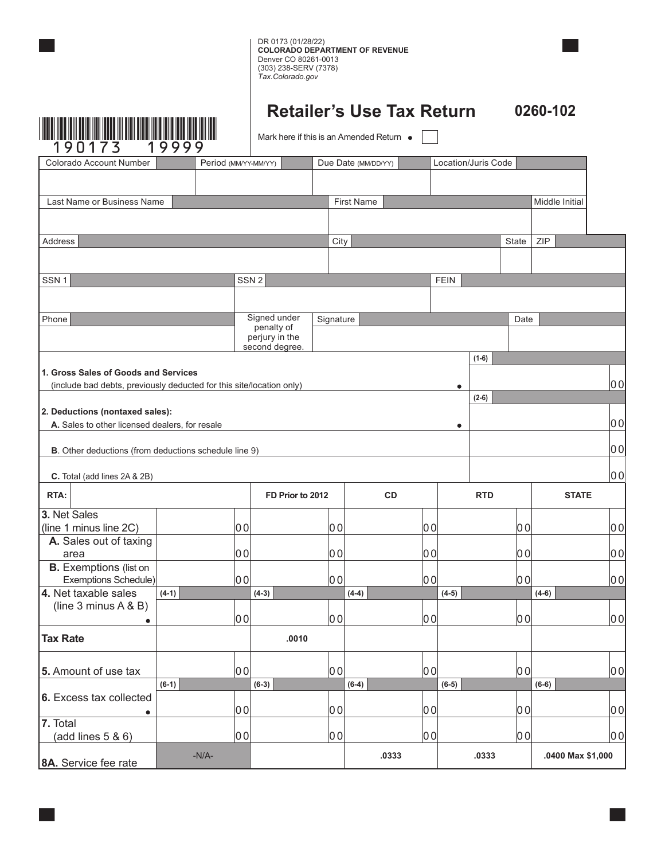

**Retailer's Use Tax Return 0260-102**

Mark here if this is an Amended Return  $\bullet$ 

| - -<br>Colorado Account Number                                                                               |         | Period (MM/YY-MM/YY) |                                  |              | Due Date (MM/DD/YY)<br>Location/Juris Code |              |             |            |       |                   |    |
|--------------------------------------------------------------------------------------------------------------|---------|----------------------|----------------------------------|--------------|--------------------------------------------|--------------|-------------|------------|-------|-------------------|----|
|                                                                                                              |         |                      |                                  |              |                                            |              |             |            |       |                   |    |
| Last Name or Business Name                                                                                   |         |                      |                                  |              | <b>First Name</b>                          |              |             |            |       | Middle Initial    |    |
|                                                                                                              |         |                      |                                  |              |                                            |              |             |            |       |                   |    |
| Address                                                                                                      |         |                      |                                  | City         |                                            |              |             |            | State | ZIP               |    |
|                                                                                                              |         |                      |                                  |              |                                            |              |             |            |       |                   |    |
| SSN <sub>1</sub>                                                                                             |         |                      | SSN <sub>2</sub>                 |              |                                            |              | <b>FEIN</b> |            |       |                   |    |
|                                                                                                              |         |                      |                                  |              |                                            |              |             |            |       |                   |    |
|                                                                                                              |         |                      |                                  |              |                                            |              |             |            |       |                   |    |
| Phone                                                                                                        |         |                      | Signed under<br>penalty of       | Signature    |                                            |              |             |            | Date  |                   |    |
|                                                                                                              |         |                      | perjury in the<br>second degree. |              |                                            |              |             |            |       |                   |    |
|                                                                                                              |         |                      |                                  |              |                                            |              |             | $(1-6)$    |       |                   |    |
| 1. Gross Sales of Goods and Services<br>(include bad debts, previously deducted for this site/location only) |         |                      |                                  |              |                                            |              | $\bullet$   |            |       |                   | 00 |
|                                                                                                              |         |                      |                                  |              |                                            |              |             | $(2-6)$    |       |                   |    |
| 2. Deductions (nontaxed sales):                                                                              |         |                      |                                  |              |                                            |              |             |            |       |                   |    |
| A. Sales to other licensed dealers, for resale                                                               |         |                      |                                  |              |                                            |              | $\bullet$   |            |       |                   | 00 |
| <b>B</b> . Other deductions (from deductions schedule line 9)                                                |         |                      |                                  |              |                                            |              |             |            |       |                   | 00 |
|                                                                                                              |         |                      |                                  |              |                                            |              |             |            |       |                   |    |
| C. Total (add lines 2A & 2B)                                                                                 |         |                      |                                  |              |                                            |              |             |            |       |                   | 00 |
| RTA:                                                                                                         |         |                      | FD Prior to 2012                 |              | <b>CD</b>                                  |              |             | <b>RTD</b> |       | <b>STATE</b>      |    |
| 3. Net Sales                                                                                                 |         |                      |                                  |              |                                            |              |             |            |       |                   |    |
| (line 1 minus line 2C)<br>A. Sales out of taxing                                                             |         | $ 00\rangle$         |                                  | $ 00\rangle$ |                                            | 00           |             |            | 00    |                   | 00 |
| area                                                                                                         |         | $ 00\rangle$         |                                  | $ 00\rangle$ |                                            | 00           |             |            | 00    |                   | 00 |
| <b>B.</b> Exemptions (list on                                                                                |         |                      |                                  |              |                                            |              |             |            |       |                   |    |
| Exemptions Schedule)<br>4. Net taxable sales                                                                 | $(4-1)$ | 00                   | $(4-3)$                          | 00           | $(4-4)$                                    | $ 00\rangle$ | $(4-5)$     |            | 00    | $(4-6)$           | 00 |
| (line $3$ minus $A \& B$ )                                                                                   |         |                      |                                  |              |                                            |              |             |            |       |                   |    |
|                                                                                                              |         | $ 00\rangle$         |                                  | 00           |                                            | 00           |             |            | 00    |                   | 00 |
| <b>Tax Rate</b>                                                                                              |         |                      | .0010                            |              |                                            |              |             |            |       |                   |    |
|                                                                                                              |         |                      |                                  |              |                                            |              |             |            |       |                   |    |
| 5. Amount of use tax                                                                                         |         | 00                   |                                  | 00           |                                            | 00           |             |            | 00    |                   | 00 |
| 6. Excess tax collected                                                                                      | $(6-1)$ |                      | $(6-3)$                          |              | $(6-4)$                                    |              | $(6-5)$     |            |       | $(6-6)$           |    |
|                                                                                                              |         | 00                   |                                  | 00           |                                            | 00           |             |            | 00    |                   | 00 |
| 7. Total                                                                                                     |         |                      |                                  |              |                                            |              |             |            |       |                   |    |
| (add lines 5 & 6)                                                                                            |         | 00                   |                                  | 00           |                                            | 00           |             |            | 00    |                   | 00 |
| 8A. Service fee rate                                                                                         |         | $-N/A-$              |                                  |              | .0333                                      |              |             | .0333      |       | .0400 Max \$1,000 |    |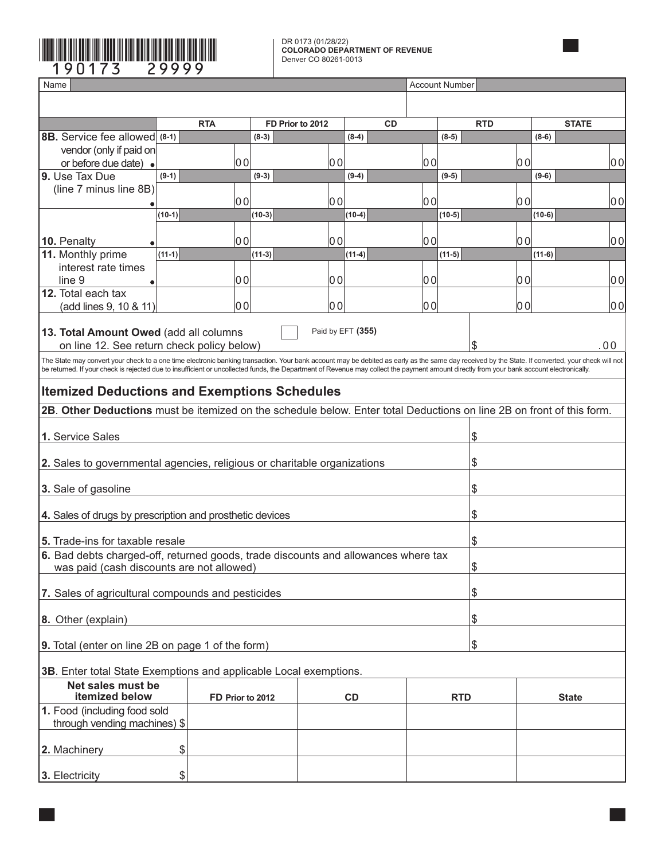### DR 0173 (01/28/22) **COLORADO DEPARTMENT OF REVENUE** Denver CO 80261-0013

| 9 Q<br>173                                                                                                                                                                                                                                                                                                                                                                                                                                                                             | 29999            |          | DR 0173 (01/28/22)<br><b>COLORADO DEPARTMENT OF REVENUE</b><br>Denver CO 80261-0013 |                   |       |                       |            |          |                |  |
|----------------------------------------------------------------------------------------------------------------------------------------------------------------------------------------------------------------------------------------------------------------------------------------------------------------------------------------------------------------------------------------------------------------------------------------------------------------------------------------|------------------|----------|-------------------------------------------------------------------------------------|-------------------|-------|-----------------------|------------|----------|----------------|--|
| Name                                                                                                                                                                                                                                                                                                                                                                                                                                                                                   |                  |          |                                                                                     |                   |       | <b>Account Number</b> |            |          |                |  |
|                                                                                                                                                                                                                                                                                                                                                                                                                                                                                        |                  |          |                                                                                     |                   |       |                       |            |          |                |  |
|                                                                                                                                                                                                                                                                                                                                                                                                                                                                                        |                  |          |                                                                                     |                   |       |                       |            |          |                |  |
|                                                                                                                                                                                                                                                                                                                                                                                                                                                                                        | <b>RTA</b>       |          | FD Prior to 2012                                                                    | <b>CD</b>         |       |                       | <b>RTD</b> |          | <b>STATE</b>   |  |
| 8B. Service fee allowed (8-1)                                                                                                                                                                                                                                                                                                                                                                                                                                                          |                  | $(8-3)$  |                                                                                     | $(8-4)$           |       | $(8-5)$               |            | $(8-6)$  |                |  |
| vendor (only if paid on<br>or before due date) $\bullet$                                                                                                                                                                                                                                                                                                                                                                                                                               | 00               |          | 00                                                                                  |                   | 00    |                       |            | 00       | 00             |  |
| 9. Use Tax Due                                                                                                                                                                                                                                                                                                                                                                                                                                                                         | $(9-1)$          | $(9-3)$  |                                                                                     | $(9-4)$           |       | $(9-5)$               |            | $(9-6)$  |                |  |
| (line 7 minus line 8B)                                                                                                                                                                                                                                                                                                                                                                                                                                                                 |                  |          |                                                                                     |                   |       |                       |            |          |                |  |
|                                                                                                                                                                                                                                                                                                                                                                                                                                                                                        | 00               |          | 00                                                                                  |                   | 00    |                       |            | 00       | 00             |  |
|                                                                                                                                                                                                                                                                                                                                                                                                                                                                                        | $(10-1)$         | $(10-3)$ |                                                                                     | $(10-4)$          |       | $(10-5)$              |            | $(10-6)$ |                |  |
|                                                                                                                                                                                                                                                                                                                                                                                                                                                                                        |                  |          |                                                                                     |                   |       |                       |            |          |                |  |
| 10. Penalty                                                                                                                                                                                                                                                                                                                                                                                                                                                                            | 00               |          | 00                                                                                  |                   | l0 Ol |                       |            | 00       | 00             |  |
| 11. Monthly prime                                                                                                                                                                                                                                                                                                                                                                                                                                                                      | $(11-1)$         | $(11-3)$ |                                                                                     | $(11-4)$          |       | $(11-5)$              |            | $(11-6)$ |                |  |
| interest rate times                                                                                                                                                                                                                                                                                                                                                                                                                                                                    |                  |          |                                                                                     |                   |       |                       |            |          |                |  |
| line 9                                                                                                                                                                                                                                                                                                                                                                                                                                                                                 | 00               |          | 00                                                                                  |                   | 0 O   |                       |            | 00       | 0 <sub>0</sub> |  |
| 12. Total each tax                                                                                                                                                                                                                                                                                                                                                                                                                                                                     |                  |          |                                                                                     |                   |       |                       |            |          |                |  |
| (add lines 9, 10 & 11)                                                                                                                                                                                                                                                                                                                                                                                                                                                                 | 00               |          | 00                                                                                  |                   | 00    |                       |            | 00       | 00             |  |
| 13. Total Amount Owed (add all columns<br>on line 12. See return check policy below)<br>The State may convert your check to a one time electronic banking transaction. Your bank account may be debited as early as the same day received by the State. If converted, your check will not<br>be returned. If your check is rejected due to insufficient or uncollected funds, the Department of Revenue may collect the payment amount directly from your bank account electronically. |                  |          |                                                                                     | Paid by EFT (355) |       |                       | \$         |          | .00            |  |
| <b>Itemized Deductions and Exemptions Schedules</b>                                                                                                                                                                                                                                                                                                                                                                                                                                    |                  |          |                                                                                     |                   |       |                       |            |          |                |  |
| 2B. Other Deductions must be itemized on the schedule below. Enter total Deductions on line 2B on front of this form.                                                                                                                                                                                                                                                                                                                                                                  |                  |          |                                                                                     |                   |       |                       |            |          |                |  |
| 1. Service Sales                                                                                                                                                                                                                                                                                                                                                                                                                                                                       |                  |          |                                                                                     |                   |       |                       | \$         |          |                |  |
| 2. Sales to governmental agencies, religious or charitable organizations                                                                                                                                                                                                                                                                                                                                                                                                               |                  |          |                                                                                     |                   |       |                       | \$         |          |                |  |
| 3. Sale of gasoline                                                                                                                                                                                                                                                                                                                                                                                                                                                                    |                  |          |                                                                                     |                   |       |                       | \$         |          |                |  |
| 4. Sales of drugs by prescription and prosthetic devices                                                                                                                                                                                                                                                                                                                                                                                                                               |                  |          |                                                                                     |                   |       |                       | \$         |          |                |  |
| <b>5.</b> Trade-ins for taxable resale                                                                                                                                                                                                                                                                                                                                                                                                                                                 |                  |          |                                                                                     |                   |       | \$                    |            |          |                |  |
| 6. Bad debts charged-off, returned goods, trade discounts and allowances where tax                                                                                                                                                                                                                                                                                                                                                                                                     |                  |          |                                                                                     |                   |       |                       |            |          |                |  |
| was paid (cash discounts are not allowed)                                                                                                                                                                                                                                                                                                                                                                                                                                              |                  |          |                                                                                     |                   |       |                       | \$         |          |                |  |
| 7. Sales of agricultural compounds and pesticides                                                                                                                                                                                                                                                                                                                                                                                                                                      |                  |          |                                                                                     |                   |       |                       | \$         |          |                |  |
| 8. Other (explain)                                                                                                                                                                                                                                                                                                                                                                                                                                                                     |                  |          |                                                                                     |                   |       |                       | \$         |          |                |  |
| 9. Total (enter on line 2B on page 1 of the form)                                                                                                                                                                                                                                                                                                                                                                                                                                      |                  |          |                                                                                     |                   |       |                       |            |          |                |  |
| 3B. Enter total State Exemptions and applicable Local exemptions.                                                                                                                                                                                                                                                                                                                                                                                                                      |                  |          |                                                                                     |                   |       |                       |            |          |                |  |
| Net sales must be<br>itemized below                                                                                                                                                                                                                                                                                                                                                                                                                                                    | FD Prior to 2012 |          |                                                                                     | CD                |       | <b>RTD</b>            |            |          |                |  |
| 1. Food (including food sold                                                                                                                                                                                                                                                                                                                                                                                                                                                           |                  |          |                                                                                     |                   |       |                       |            |          | <b>State</b>   |  |
| through vending machines) \$                                                                                                                                                                                                                                                                                                                                                                                                                                                           |                  |          |                                                                                     |                   |       |                       |            |          |                |  |
| 2. Machinery                                                                                                                                                                                                                                                                                                                                                                                                                                                                           | \$               |          |                                                                                     |                   |       |                       |            |          |                |  |
|                                                                                                                                                                                                                                                                                                                                                                                                                                                                                        |                  |          |                                                                                     |                   |       |                       |            |          |                |  |
| 3. Electricity                                                                                                                                                                                                                                                                                                                                                                                                                                                                         | \$               |          |                                                                                     |                   |       |                       |            |          |                |  |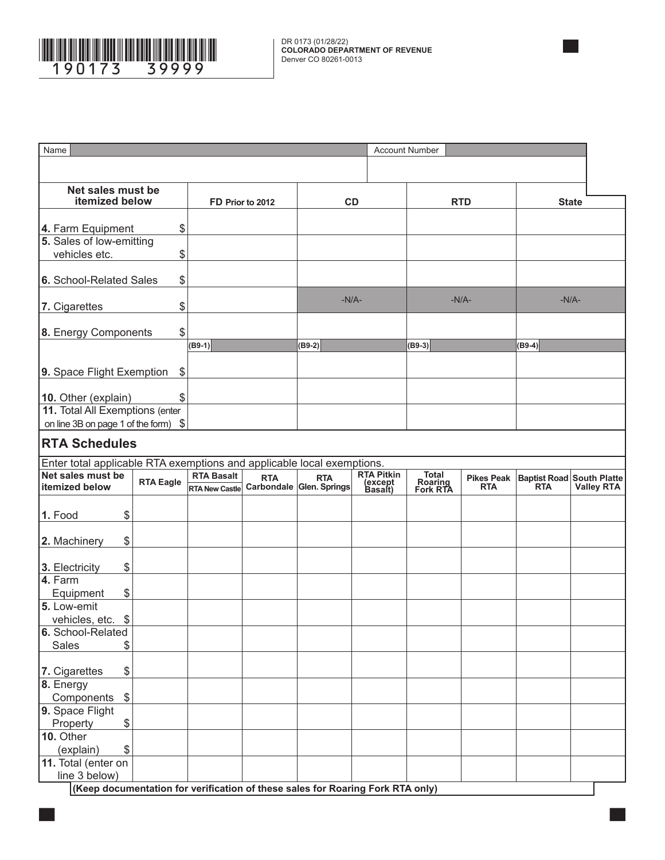

| Name                                                                           |                                           |                       |                  |                          |                    | <b>Account Number</b> |                   |                                  |                   |
|--------------------------------------------------------------------------------|-------------------------------------------|-----------------------|------------------|--------------------------|--------------------|-----------------------|-------------------|----------------------------------|-------------------|
|                                                                                |                                           |                       |                  |                          |                    |                       |                   |                                  |                   |
|                                                                                |                                           |                       |                  |                          |                    |                       |                   |                                  |                   |
| Net sales must be                                                              |                                           |                       |                  |                          |                    |                       |                   |                                  |                   |
| itemized below                                                                 |                                           |                       | FD Prior to 2012 | CD                       |                    |                       | <b>RTD</b>        |                                  | <b>State</b>      |
| 4. Farm Equipment                                                              | \$                                        |                       |                  |                          |                    |                       |                   |                                  |                   |
| 5. Sales of low-emitting                                                       |                                           |                       |                  |                          |                    |                       |                   |                                  |                   |
| vehicles etc.                                                                  | \$                                        |                       |                  |                          |                    |                       |                   |                                  |                   |
|                                                                                |                                           |                       |                  |                          |                    |                       |                   |                                  |                   |
| 6. School-Related Sales                                                        | \$                                        |                       |                  |                          |                    |                       |                   |                                  |                   |
|                                                                                |                                           |                       |                  | $-N/A-$                  |                    |                       | $-N/A$ -          |                                  | $-N/A-$           |
| 7. Cigarettes                                                                  | \$                                        |                       |                  |                          |                    |                       |                   |                                  |                   |
|                                                                                |                                           |                       |                  |                          |                    |                       |                   |                                  |                   |
| 8. Energy Components                                                           | \$                                        |                       |                  |                          |                    |                       |                   |                                  |                   |
|                                                                                |                                           | $(B9-1)$              |                  | $(B9-2)$                 |                    | $(B9-3)$              |                   | $(B9-4)$                         |                   |
|                                                                                |                                           |                       |                  |                          |                    |                       |                   |                                  |                   |
| 9. Space Flight Exemption                                                      | $\, \, \raisebox{12pt}{$\scriptstyle \$}$ |                       |                  |                          |                    |                       |                   |                                  |                   |
|                                                                                |                                           |                       |                  |                          |                    |                       |                   |                                  |                   |
| 10. Other (explain)<br>11. Total All Exemptions (enter                         | \$                                        |                       |                  |                          |                    |                       |                   |                                  |                   |
| on line 3B on page 1 of the form) \$                                           |                                           |                       |                  |                          |                    |                       |                   |                                  |                   |
|                                                                                |                                           |                       |                  |                          |                    |                       |                   |                                  |                   |
| <b>RTA Schedules</b>                                                           |                                           |                       |                  |                          |                    |                       |                   |                                  |                   |
| Enter total applicable RTA exemptions and applicable local exemptions.         |                                           |                       |                  |                          |                    |                       |                   |                                  |                   |
| Net sales must be                                                              |                                           | <b>RTA Basalt</b>     | <b>RTA</b>       | <b>RTA</b>               | <b>RTA Pitkin</b>  | Total                 | <b>Pikes Peak</b> | <b>Baptist Road South Platte</b> |                   |
| litemized below                                                                | <b>RTA Eagle</b>                          | <b>RTA New Castle</b> |                  | Carbondale Glen. Springs | (except<br>Basalt) | Roaring<br>Fork RTA   | <b>RTA</b>        | <b>RTA</b>                       | <b>Valley RTA</b> |
|                                                                                |                                           |                       |                  |                          |                    |                       |                   |                                  |                   |
| \$<br>1. Food                                                                  |                                           |                       |                  |                          |                    |                       |                   |                                  |                   |
|                                                                                |                                           |                       |                  |                          |                    |                       |                   |                                  |                   |
| \$<br>2. Machinery                                                             |                                           |                       |                  |                          |                    |                       |                   |                                  |                   |
|                                                                                |                                           |                       |                  |                          |                    |                       |                   |                                  |                   |
| \$<br>3. Electricity                                                           |                                           |                       |                  |                          |                    |                       |                   |                                  |                   |
| 4. Farm                                                                        |                                           |                       |                  |                          |                    |                       |                   |                                  |                   |
| \$<br>Equipment                                                                |                                           |                       |                  |                          |                    |                       |                   |                                  |                   |
| 5. Low-emit<br>vehicles, etc.<br>$\frac{1}{2}$                                 |                                           |                       |                  |                          |                    |                       |                   |                                  |                   |
| 6. School-Related                                                              |                                           |                       |                  |                          |                    |                       |                   |                                  |                   |
| <b>Sales</b><br>\$                                                             |                                           |                       |                  |                          |                    |                       |                   |                                  |                   |
|                                                                                |                                           |                       |                  |                          |                    |                       |                   |                                  |                   |
| \$<br>7. Cigarettes                                                            |                                           |                       |                  |                          |                    |                       |                   |                                  |                   |
| 8. Energy                                                                      |                                           |                       |                  |                          |                    |                       |                   |                                  |                   |
| $\$\$<br>Components                                                            |                                           |                       |                  |                          |                    |                       |                   |                                  |                   |
| 9. Space Flight                                                                |                                           |                       |                  |                          |                    |                       |                   |                                  |                   |
| Property<br>\$                                                                 |                                           |                       |                  |                          |                    |                       |                   |                                  |                   |
| 10. Other                                                                      |                                           |                       |                  |                          |                    |                       |                   |                                  |                   |
| \$<br>(explain)                                                                |                                           |                       |                  |                          |                    |                       |                   |                                  |                   |
| 11. Total (enter on                                                            |                                           |                       |                  |                          |                    |                       |                   |                                  |                   |
| line 3 below)                                                                  |                                           |                       |                  |                          |                    |                       |                   |                                  |                   |
| (Keep documentation for verification of these sales for Roaring Fork RTA only) |                                           |                       |                  |                          |                    |                       |                   |                                  |                   |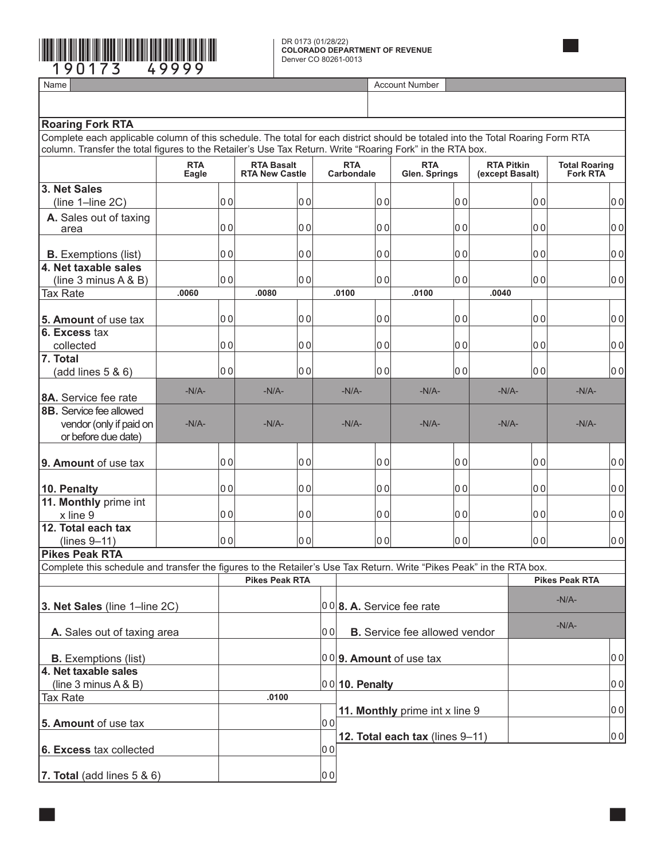# \*190173==49999\*

DR 0173 (01/28/22) **COLORADO DEPARTMENT OF REVENUE** Denver CO 80261-0013

Name **Account Number and Account Number and Account Number and Account Number** Account Number

| column. Transfer the total figures to the Retailer's Use Tax Return. Write "Roaring Fork" in the RTA box.            |                     |                                            |                               |                |                                    |                             |                                      |                                      |                |                                         |    |
|----------------------------------------------------------------------------------------------------------------------|---------------------|--------------------------------------------|-------------------------------|----------------|------------------------------------|-----------------------------|--------------------------------------|--------------------------------------|----------------|-----------------------------------------|----|
|                                                                                                                      | <b>RTA</b><br>Eagle | <b>RTA Basalt</b><br><b>RTA New Castle</b> |                               |                | <b>RTA</b><br>Carbondale           | <b>RTA</b><br>Glen. Springs |                                      | <b>RTA Pitkin</b><br>(except Basalt) |                | <b>Total Roaring</b><br><b>Fork RTA</b> |    |
| 3. Net Sales                                                                                                         |                     |                                            |                               |                |                                    |                             |                                      |                                      |                |                                         |    |
| $(line 1$ -line $2C)$                                                                                                |                     | 0 <sub>0</sub>                             | 00                            |                | 00                                 |                             | 00                                   |                                      | 0 <sub>0</sub> |                                         | 00 |
| A. Sales out of taxing                                                                                               |                     |                                            |                               |                |                                    |                             |                                      |                                      |                |                                         |    |
| area                                                                                                                 |                     | 0 <sub>0</sub>                             | lo o                          |                | 00                                 |                             | 0 <sub>0</sub>                       |                                      | 0 <sub>0</sub> |                                         | 00 |
| <b>B.</b> Exemptions (list)                                                                                          |                     | 0 <sub>0</sub>                             | lo o                          |                | lo ol                              |                             | lo o                                 |                                      | 0 <sub>0</sub> |                                         | 00 |
| 4. Net taxable sales                                                                                                 |                     |                                            |                               |                |                                    |                             |                                      |                                      |                |                                         |    |
| (line $3$ minus $A \& B$ )                                                                                           |                     | 0 <sub>0</sub>                             | 00                            |                | 00                                 |                             | lo o                                 |                                      | 0 <sub>0</sub> |                                         | 00 |
| Tax Rate                                                                                                             | .0060               |                                            | .0080                         |                | .0100                              |                             | .0100                                | .0040                                |                |                                         |    |
|                                                                                                                      |                     |                                            |                               |                |                                    |                             |                                      |                                      |                |                                         |    |
| 5. Amount of use tax                                                                                                 |                     | 0 <sub>0</sub>                             | 00                            |                | lo ol                              |                             | 00                                   |                                      | 0 <sub>0</sub> |                                         | 00 |
| 6. Excess tax                                                                                                        |                     |                                            |                               |                |                                    |                             |                                      |                                      |                |                                         |    |
| collected                                                                                                            |                     | 0 <sub>0</sub>                             | 00                            |                | lo ol                              |                             | lo o                                 |                                      | 0 <sub>0</sub> |                                         | 00 |
| 7. Total                                                                                                             |                     |                                            |                               |                |                                    |                             |                                      |                                      |                |                                         |    |
| (add lines 5 & 6)                                                                                                    |                     | 0 <sub>0</sub>                             | 00                            |                | 00                                 |                             | 00                                   |                                      | 0 <sub>0</sub> |                                         | 00 |
| 8A. Service fee rate                                                                                                 | $-N/A-$             |                                            | $-N/A-$                       |                | $-N/A$ -                           |                             | $-N/A$ -                             |                                      | $-N/A$ -       | $-N/A-$                                 |    |
| 8B. Service fee allowed                                                                                              |                     |                                            |                               |                |                                    |                             |                                      |                                      |                |                                         |    |
| vendor (only if paid on                                                                                              | $-N/A$ -            |                                            | $-N/A-$                       |                | $-N/A$ -                           |                             | $-N/A$ -                             | $-N/A$ -                             |                | $-N/A-$                                 |    |
| or before due date)                                                                                                  |                     |                                            |                               |                |                                    |                             |                                      |                                      |                |                                         |    |
|                                                                                                                      |                     |                                            |                               |                |                                    |                             |                                      |                                      |                |                                         |    |
| 9. Amount of use tax                                                                                                 |                     | 0 <sub>0</sub>                             | 00                            |                | lo ol                              |                             | 00                                   |                                      | 0 <sub>0</sub> |                                         | 00 |
| 10. Penalty                                                                                                          |                     | 0 <sub>0</sub>                             | 00                            |                | lo ol                              |                             | 00                                   |                                      | 0 <sub>0</sub> |                                         | 00 |
| 11. Monthly prime int                                                                                                |                     |                                            |                               |                |                                    |                             |                                      |                                      |                |                                         |    |
| x line 9                                                                                                             |                     | 0 <sub>0</sub>                             | 00                            |                | lo ol                              |                             | 00                                   |                                      | 0 <sub>0</sub> |                                         | 00 |
| 12. Total each tax                                                                                                   |                     |                                            |                               |                |                                    |                             |                                      |                                      |                |                                         |    |
| (lines 9-11)                                                                                                         |                     | 0 <sub>0</sub>                             | 00                            |                | 00                                 |                             | 00                                   |                                      | 0 <sub>0</sub> |                                         | 00 |
| <b>Pikes Peak RTA</b>                                                                                                |                     |                                            |                               |                |                                    |                             |                                      |                                      |                |                                         |    |
| Complete this schedule and transfer the figures to the Retailer's Use Tax Return. Write "Pikes Peak" in the RTA box. |                     |                                            |                               |                |                                    |                             |                                      |                                      |                |                                         |    |
|                                                                                                                      |                     |                                            | <b>Pikes Peak RTA</b>         |                |                                    |                             |                                      |                                      |                | <b>Pikes Peak RTA</b>                   |    |
| 3. Net Sales (line 1-line 2C)                                                                                        |                     |                                            | $ 00 $ 8. A. Service fee rate |                |                                    |                             |                                      |                                      | $-N/A-$        |                                         |    |
|                                                                                                                      |                     |                                            |                               |                |                                    |                             |                                      |                                      | $-N/A-$        |                                         |    |
| A. Sales out of taxing area                                                                                          |                     |                                            |                               | 0 <sub>0</sub> |                                    |                             | <b>B.</b> Service fee allowed vendor |                                      |                |                                         |    |
| <b>B.</b> Exemptions (list)                                                                                          |                     |                                            |                               |                | $ 00 $ <b>9. Amount</b> of use tax |                             |                                      |                                      |                |                                         | 00 |
| 4. Net taxable sales                                                                                                 |                     |                                            |                               |                |                                    |                             |                                      |                                      |                |                                         |    |
| (line $3$ minus $A & B$ )                                                                                            |                     |                                            |                               |                | $ 00 $ 10. Penalty                 |                             |                                      |                                      |                |                                         | 00 |
| <b>Tax Rate</b>                                                                                                      |                     |                                            | .0100                         |                |                                    |                             |                                      |                                      |                |                                         |    |
|                                                                                                                      |                     |                                            |                               | 0 <sub>0</sub> |                                    |                             | 11. Monthly prime int x line 9       |                                      |                |                                         | 00 |
| 5. Amount of use tax                                                                                                 |                     |                                            |                               |                |                                    |                             | 12. Total each tax (lines 9-11)      |                                      |                |                                         | 00 |
| 6. Excess tax collected                                                                                              |                     |                                            |                               | 0 <sub>0</sub> |                                    |                             |                                      |                                      |                |                                         |    |
|                                                                                                                      |                     |                                            |                               |                |                                    |                             |                                      |                                      |                |                                         |    |
| 7. Total (add lines $5 & 6$ )                                                                                        |                     |                                            |                               | 0 <sub>0</sub> |                                    |                             |                                      |                                      |                |                                         |    |